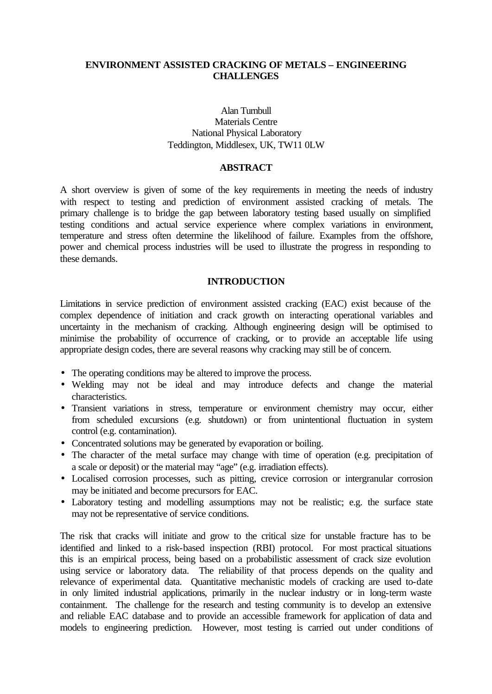# **ENVIRONMENT ASSISTED CRACKING OF METALS – ENGINEERING CHALLENGES**

# Alan Turnbull Materials Centre National Physical Laboratory Teddington, Middlesex, UK, TW11 0LW

## **ABSTRACT**

A short overview is given of some of the key requirements in meeting the needs of industry with respect to testing and prediction of environment assisted cracking of metals. The primary challenge is to bridge the gap between laboratory testing based usually on simplified testing conditions and actual service experience where complex variations in environment, temperature and stress often determine the likelihood of failure. Examples from the offshore, power and chemical process industries will be used to illustrate the progress in responding to these demands.

## **INTRODUCTION**

Limitations in service prediction of environment assisted cracking (EAC) exist because of the complex dependence of initiation and crack growth on interacting operational variables and uncertainty in the mechanism of cracking. Although engineering design will be optimised to minimise the probability of occurrence of cracking, or to provide an acceptable life using appropriate design codes, there are several reasons why cracking may still be of concern.

- The operating conditions may be altered to improve the process.
- Welding may not be ideal and may introduce defects and change the material characteristics.
- Transient variations in stress, temperature or environment chemistry may occur, either from scheduled excursions (e.g. shutdown) or from unintentional fluctuation in system control (e.g. contamination).
- Concentrated solutions may be generated by evaporation or boiling.
- The character of the metal surface may change with time of operation (e.g. precipitation of a scale or deposit) or the material may "age" (e.g. irradiation effects).
- Localised corrosion processes, such as pitting, crevice corrosion or intergranular corrosion may be initiated and become precursors for EAC.
- Laboratory testing and modelling assumptions may not be realistic; e.g. the surface state may not be representative of service conditions.

The risk that cracks will initiate and grow to the critical size for unstable fracture has to be identified and linked to a risk-based inspection (RBI) protocol. For most practical situations this is an empirical process, being based on a probabilistic assessment of crack size evolution using service or laboratory data. The reliability of that process depends on the quality and relevance of experimental data. Quantitative mechanistic models of cracking are used to-date in only limited industrial applications, primarily in the nuclear industry or in long-term waste containment. The challenge for the research and testing community is to develop an extensive and reliable EAC database and to provide an accessible framework for application of data and models to engineering prediction. However, most testing is carried out under conditions of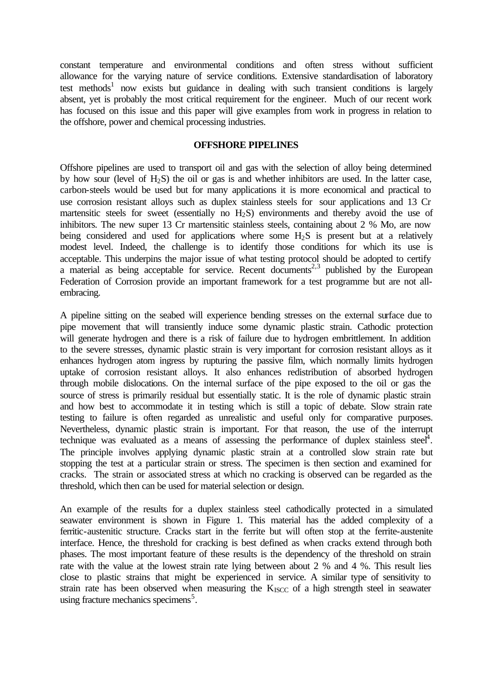constant temperature and environmental conditions and often stress without sufficient allowance for the varying nature of service conditions. Extensive standardisation of laboratory test methods<sup>1</sup> now exists but guidance in dealing with such transient conditions is largely absent, yet is probably the most critical requirement for the engineer. Much of our recent work has focused on this issue and this paper will give examples from work in progress in relation to the offshore, power and chemical processing industries.

## **OFFSHORE PIPELINES**

Offshore pipelines are used to transport oil and gas with the selection of alloy being determined by how sour (level of  $H_2S$ ) the oil or gas is and whether inhibitors are used. In the latter case, carbon-steels would be used but for many applications it is more economical and practical to use corrosion resistant alloys such as duplex stainless steels for sour applications and 13 Cr martensitic steels for sweet (essentially no  $H_2S$ ) environments and thereby avoid the use of inhibitors. The new super 13 Cr martensitic stainless steels, containing about 2 % Mo, are now being considered and used for applications where some  $H_2S$  is present but at a relatively modest level. Indeed, the challenge is to identify those conditions for which its use is acceptable. This underpins the major issue of what testing protocol should be adopted to certify a material as being acceptable for service. Recent documents<sup>2,3</sup> published by the European Federation of Corrosion provide an important framework for a test programme but are not allembracing.

A pipeline sitting on the seabed will experience bending stresses on the external surface due to pipe movement that will transiently induce some dynamic plastic strain. Cathodic protection will generate hydrogen and there is a risk of failure due to hydrogen embrittlement. In addition to the severe stresses, dynamic plastic strain is very important for corrosion resistant alloys as it enhances hydrogen atom ingress by rupturing the passive film, which normally limits hydrogen uptake of corrosion resistant alloys. It also enhances redistribution of absorbed hydrogen through mobile dislocations. On the internal surface of the pipe exposed to the oil or gas the source of stress is primarily residual but essentially static. It is the role of dynamic plastic strain and how best to accommodate it in testing which is still a topic of debate. Slow strain rate testing to failure is often regarded as unrealistic and useful only for comparative purposes. Nevertheless, dynamic plastic strain is important. For that reason, the use of the interrupt technique was evaluated as a means of assessing the performance of duplex stainless steel<sup>4</sup>. The principle involves applying dynamic plastic strain at a controlled slow strain rate but stopping the test at a particular strain or stress. The specimen is then section and examined for cracks. The strain or associated stress at which no cracking is observed can be regarded as the threshold, which then can be used for material selection or design.

An example of the results for a duplex stainless steel cathodically protected in a simulated seawater environment is shown in Figure 1. This material has the added complexity of a ferritic-austenitic structure. Cracks start in the ferrite but will often stop at the ferrite-austenite interface. Hence, the threshold for cracking is best defined as when cracks extend through both phases. The most important feature of these results is the dependency of the threshold on strain rate with the value at the lowest strain rate lying between about 2 % and 4 %. This result lies close to plastic strains that might be experienced in service. A similar type of sensitivity to strain rate has been observed when measuring the  $K_{ISCC}$  of a high strength steel in seawater using fracture mechanics specimens<sup>5</sup>.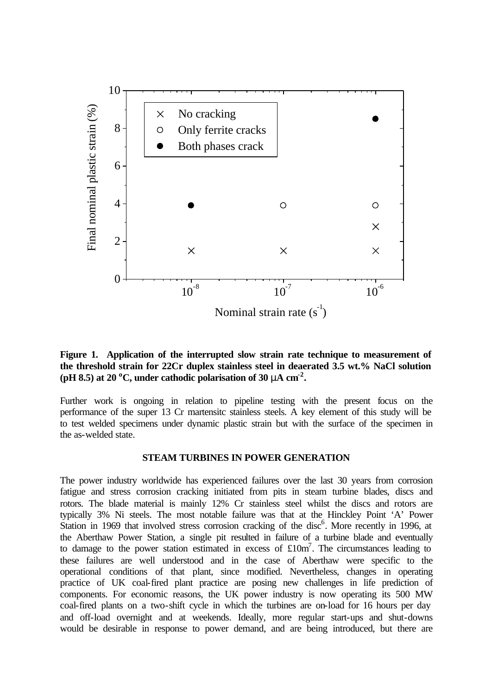

**Figure 1. Application of the interrupted slow strain rate technique to measurement of the threshold strain for 22Cr duplex stainless steel in deaerated 3.5 wt.% NaCl solution**  (pH 8.5) at 20  $^{\circ}$ C, under cathodic polarisation of 30 **m**A cm<sup>-2</sup>.

Further work is ongoing in relation to pipeline testing with the present focus on the performance of the super 13 Cr martensitc stainless steels. A key element of this study will be to test welded specimens under dynamic plastic strain but with the surface of the specimen in the as-welded state.

## **STEAM TURBINES IN POWER GENERATION**

The power industry worldwide has experienced failures over the last 30 years from corrosion fatigue and stress corrosion cracking initiated from pits in steam turbine blades, discs and rotors. The blade material is mainly 12% Cr stainless steel whilst the discs and rotors are typically 3% Ni steels. The most notable failure was that at the Hinckley Point 'A' Power Station in 1969 that involved stress corrosion cracking of the disc<sup>6</sup>. More recently in 1996, at the Aberthaw Power Station, a single pit resulted in failure of a turbine blade and eventually to damage to the power station estimated in excess of  $£10m^7$ . The circumstances leading to these failures are well understood and in the case of Aberthaw were specific to the operational conditions of that plant, since modified. Nevertheless, changes in operating practice of UK coal-fired plant practice are posing new challenges in life prediction of components. For economic reasons, the UK power industry is now operating its 500 MW coal-fired plants on a two-shift cycle in which the turbines are on-load for 16 hours per day and off-load overnight and at weekends. Ideally, more regular start-ups and shut-downs would be desirable in response to power demand, and are being introduced, but there are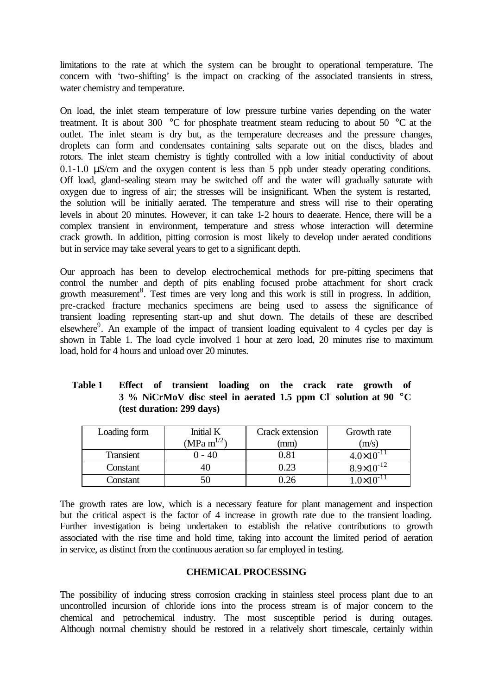limitations to the rate at which the system can be brought to operational temperature. The concern with 'two-shifting' is the impact on cracking of the associated transients in stress, water chemistry and temperature.

On load, the inlet steam temperature of low pressure turbine varies depending on the water treatment. It is about 300  $\degree$ C for phosphate treatment steam reducing to about 50  $\degree$ C at the outlet. The inlet steam is dry but, as the temperature decreases and the pressure changes, droplets can form and condensates containing salts separate out on the discs, blades and rotors. The inlet steam chemistry is tightly controlled with a low initial conductivity of about 0.1-1.0 μS/cm and the oxygen content is less than 5 ppb under steady operating conditions. Off load, gland-sealing steam may be switched off and the water will gradually saturate with oxygen due to ingress of air; the stresses will be insignificant. When the system is restarted, the solution will be initially aerated. The temperature and stress will rise to their operating levels in about 20 minutes. However, it can take 1-2 hours to deaerate. Hence, there will be a complex transient in environment, temperature and stress whose interaction will determine crack growth. In addition, pitting corrosion is most likely to develop under aerated conditions but in service may take several years to get to a significant depth.

Our approach has been to develop electrochemical methods for pre-pitting specimens that control the number and depth of pits enabling focused probe attachment for short crack growth measurement<sup>8</sup>. Test times are very long and this work is still in progress. In addition, pre-cracked fracture mechanics specimens are being used to assess the significance of transient loading representing start-up and shut down. The details of these are described elsewhere<sup>9</sup>. An example of the impact of transient loading equivalent to 4 cycles per day is shown in Table 1. The load cycle involved 1 hour at zero load, 20 minutes rise to maximum load, hold for 4 hours and unload over 20 minutes.

| Table 1 |                           |  | Effect of transient loading on the crack rate growth of        |  |  |  |  |  |  |  |  |  |  |
|---------|---------------------------|--|----------------------------------------------------------------|--|--|--|--|--|--|--|--|--|--|
|         |                           |  | 3 % NiCrMoV disc steel in aerated 1.5 ppm Cl solution at 90 °C |  |  |  |  |  |  |  |  |  |  |
|         | (test duration: 299 days) |  |                                                                |  |  |  |  |  |  |  |  |  |  |

| Loading form | Initial K        | Crack extension | Growth rate           |  |
|--------------|------------------|-----------------|-----------------------|--|
|              | (MPa $m^{1/2}$ ) | (mm)            | (m/s)                 |  |
| Transient    | ) - 40           | 0.81            | $4.0 \times 10^{-11}$ |  |
| Constant     | 4U               | 0.23            | $8.9 \times 10^{-12}$ |  |
| Constant     | 50               |                 | $.0 \times 10^{-11}$  |  |

The growth rates are low, which is a necessary feature for plant management and inspection but the critical aspect is the factor of 4 increase in growth rate due to the transient loading. Further investigation is being undertaken to establish the relative contributions to growth associated with the rise time and hold time, taking into account the limited period of aeration in service, as distinct from the continuous aeration so far employed in testing.

# **CHEMICAL PROCESSING**

The possibility of inducing stress corrosion cracking in stainless steel process plant due to an uncontrolled incursion of chloride ions into the process stream is of major concern to the chemical and petrochemical industry. The most susceptible period is during outages. Although normal chemistry should be restored in a relatively short timescale, certainly within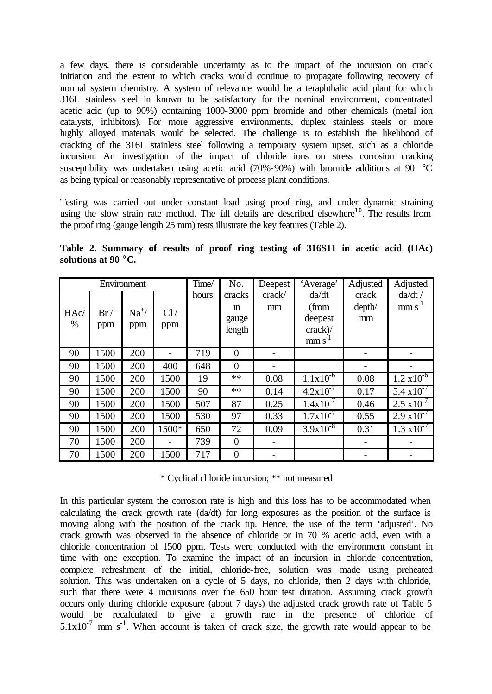a few days, there is considerable uncertainty as to the impact of the incursion on crack initiation and the extent to which cracks would continue to propagate following recovery of normal system chemistry. A system of relevance would be a teraphthalic acid plant for which 316L stainless steel in known to be satisfactory for the nominal environment, concentrated acetic acid (up to 90%) containing 1000-3000 ppm bromide and other chemicals (metal ion catalysts, inhibitors). For more aggressive environments, duplex stainless steels or more highly alloyed materials would be selected. The challenge is to establish the likelihood of cracking of the 316L stainless steel following a temporary system upset, such as a chloride incursion. An investigation of the impact of chloride ions on stress corrosion cracking susceptibility was undertaken using acetic acid (70%-90%) with bromide additions at 90  $^{\circ}$ C as being typical or reasonably representative of process plant conditions.

Testing was carried out under constant load using proof ring, and under dynamic straining using the slow strain rate method. The full details are described elsewhere<sup>10</sup>. The results from the proof ring (gauge length 25 mm) tests illustrate the key features (Table 2).

| Table 2. Summary of results of proof ring testing of 316S11 in acetic acid (HAc) |  |  |  |  |  |  |
|----------------------------------------------------------------------------------|--|--|--|--|--|--|
| solutions at $90 °C$ .                                                           |  |  |  |  |  |  |

| Environment |      |            |       | Time/ | No.            | Deepest | 'Average'                | Adjusted | Adjusted                |
|-------------|------|------------|-------|-------|----------------|---------|--------------------------|----------|-------------------------|
|             |      |            |       | hours | cracks         | crack/  | da/dt                    | crack    | da/dt/                  |
| HAc/        | Br/  | $Na^{+}$ / | CI/   |       | m              | mm      | (from                    | depth/   | $mm s^{-1}$             |
| $\%$        | ppm  | ppm        | ppm   |       | gauge          |         | deepest                  | mm       |                         |
|             |      |            |       |       | length         |         | crack)                   |          |                         |
|             |      |            |       |       |                |         | $\text{mm s}^{-1}$       |          |                         |
| 90          | 1500 | 200        |       | 719   | $\theta$       |         |                          |          |                         |
| 90          | 1500 | 200        | 400   | 648   | $\overline{0}$ |         |                          |          |                         |
| 90          | 1500 | 200        | 1500  | 19    | $**$           | 0.08    | $1.1x10^{-6}$            | 0.08     | $1.2 \times 10^{-6}$    |
| 90          | 1500 | 200        | 1500  | 90    | $**$           | 0.14    | $4.2x10^{-7}$            | 0.17     | $5.4 \times 10^{-7}$    |
| 90          | 1500 | 200        | 1500  | 507   | 87             | 0.25    | $1.4x10^{-7}$            | 0.46     | $2.5 \times 10^{-7}$    |
| 90          | 1500 | 200        | 1500  | 530   | 97             | 0.33    | $1.7x10^{-7}$            | 0.55     | $2.9 \times 10^{-7}$    |
| 90          | 1500 | 200        | 1500* | 650   | 72             | 0.09    | $3.9x\overline{10^{-8}}$ | 0.31     | $1.3 \text{ x} 10^{-7}$ |
| 70          | 1500 | 200        |       | 739   | $\Omega$       |         |                          |          |                         |
| 70          | 1500 | 200        | 1500  | 717   | $\overline{0}$ |         |                          |          |                         |

\* Cyclical chloride incursion; \*\* not measured

In this particular system the corrosion rate is high and this loss has to be accommodated when calculating the crack growth rate  $(d\alpha/dt)$  for long exposures as the position of the surface is moving along with the position of the crack tip. Hence, the use of the term 'adjusted'. No crack growth was observed in the absence of chloride or in 70 % acetic acid, even with a chloride concentration of 1500 ppm. Tests were conducted with the environment constant in time with one exception. To examine the impact of an incursion in chloride concentration, complete refreshment of the initial, chloride-free, solution was made using preheated solution. This was undertaken on a cycle of 5 days, no chloride, then 2 days with chloride, such that there were 4 incursions over the 650 hour test duration. Assuming crack growth occurs only during chloride exposure (about 7 days) the adjusted crack growth rate of Table 5 would be recalculated to give a growth rate in the presence of chloride of  $5.1x10^{-7}$  mm s<sup>-1</sup>. When account is taken of crack size, the growth rate would appear to be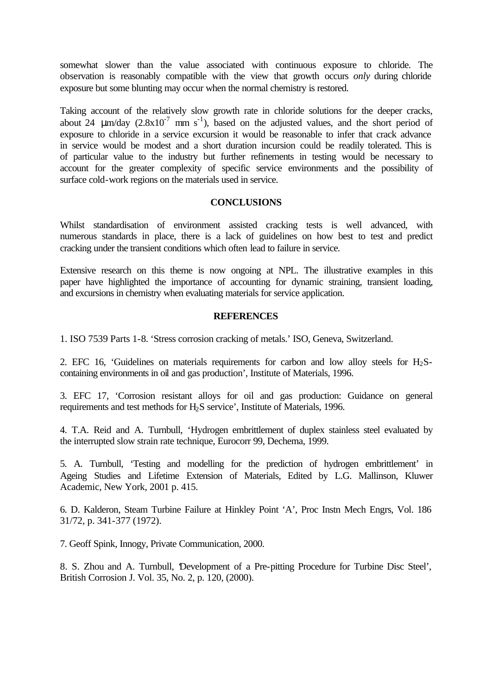somewhat slower than the value associated with continuous exposure to chloride. The observation is reasonably compatible with the view that growth occurs *only* during chloride exposure but some blunting may occur when the normal chemistry is restored.

Taking account of the relatively slow growth rate in chloride solutions for the deeper cracks, about 24  $\mu$ m/day (2.8x10<sup>-7</sup> mm s<sup>-1</sup>), based on the adjusted values, and the short period of exposure to chloride in a service excursion it would be reasonable to infer that crack advance in service would be modest and a short duration incursion could be readily tolerated. This is of particular value to the industry but further refinements in testing would be necessary to account for the greater complexity of specific service environments and the possibility of surface cold-work regions on the materials used in service.

### **CONCLUSIONS**

Whilst standardisation of environment assisted cracking tests is well advanced, with numerous standards in place, there is a lack of guidelines on how best to test and predict cracking under the transient conditions which often lead to failure in service.

Extensive research on this theme is now ongoing at NPL. The illustrative examples in this paper have highlighted the importance of accounting for dynamic straining, transient loading, and excursions in chemistry when evaluating materials for service application.

### **REFERENCES**

1. ISO 7539 Parts 1-8. 'Stress corrosion cracking of metals.' ISO, Geneva, Switzerland.

2. EFC 16, 'Guidelines on materials requirements for carbon and low alloy steels for  $H_2S$ containing environments in oil and gas production', Institute of Materials, 1996.

3. EFC 17, 'Corrosion resistant alloys for oil and gas production: Guidance on general requirements and test methods for H2S service', Institute of Materials, 1996.

4. T.A. Reid and A. Turnbull, 'Hydrogen embrittlement of duplex stainless steel evaluated by the interrupted slow strain rate technique, Eurocorr 99, Dechema, 1999.

5. A. Turnbull, 'Testing and modelling for the prediction of hydrogen embrittlement' in Ageing Studies and Lifetime Extension of Materials, Edited by L.G. Mallinson, Kluwer Academic, New York, 2001 p. 415.

6. D. Kalderon, Steam Turbine Failure at Hinkley Point 'A', Proc Instn Mech Engrs, Vol. 186 31/72, p. 341-377 (1972).

7. Geoff Spink, Innogy, Private Communication, 2000.

8. S. Zhou and A. Turnbull, 'Development of a Pre-pitting Procedure for Turbine Disc Steel', British Corrosion J. Vol. 35, No. 2, p. 120, (2000).